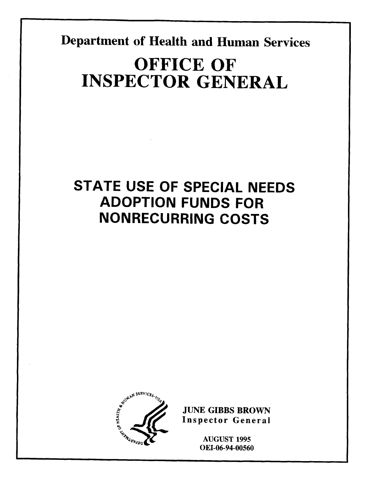**Department of Health and Human Services** 

# **OFFICE OF INSPECTOR GENERAL**

# **STATE USE OF SPECIAL NEEDS ADOPTION FUNDS FOR**  NONDECLIDDING COSTS



**JUNE GIBBS BROW** 

**AUGUST 1995** OEI-06-94-00560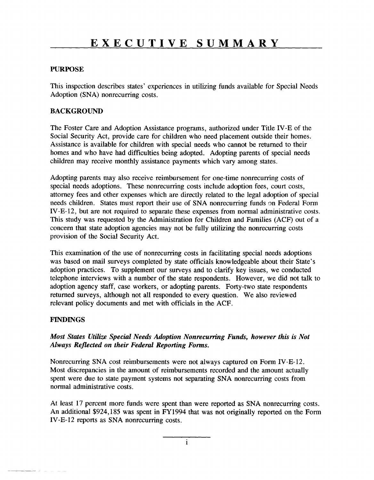#### **PURPOSE**

This inspection describes states' experiences in utilizing funds available for Special Needs Adoption (SNA) nonrecurring costs.

#### **BACKGROUND**

The Foster Care and Adoption Assistance programs, authorized under Title IV-E of the Social Security Act, provide care for children who need placement outside their homes. Assistance is available for children with special needs who cannot be returned to their homes and who have had difficulties being adopted. Adopting parents of special needs children may receive monthly assistance payments which vary among states.

Adopting parents may also receive reimbursement for one-time nonrecurring costs of special needs adoptions. These nonrecurring costs include adoption fees, court costs, attorney fees and other expenses which are directly related to the legal adoption of special needs children. States must report their use of SNA nonrecurring funds on Federal Form IV-E-12, but are not required to separate these expenses from normal administrative costs. This study was requested by the Administration for Children and Families (ACF) out of a concern that state adoption agencies may not be fully utilizing the nonrecurring costs provision of the Social Security Act.

This examination of the use of nonrecurring costs in facilitating special needs adoptions was based on mail surveys completed by state officials knowledgeable about their State's adoption practices. To supplement our surveys and to clarify key issues, we conducted telephone interviews with a number of the state respondents. However, we did not talk to adoption agency staff, case workers, or adopting parents. Forty-two state respondent returned surveys, although not all responded to every question. We also reviewed relevant policy documents and met with officials in the ACF.

#### **FINDINGS**

#### *Most States Utilize Special Needs Adoption Nonrecurring Funds, however this is Not* Always Reflected on their Federal Reporting Forms.

Nonrecurring SNA cost reimbursements were not always captured on Form IV-E-12. Most discrepancies in the amount of reimbursements recorded and the amount actually spent were due to state payment systems not separating SNA nonrecurring costs from normal administrative costs.

At least 17 percent more funds were spent than were reported as SNA nonrecurring costs. An additional \$924,185 was spent in FY1994 that was not originally reported on the Form IV-E- 12 reports as SNA nonrecurring costs.

i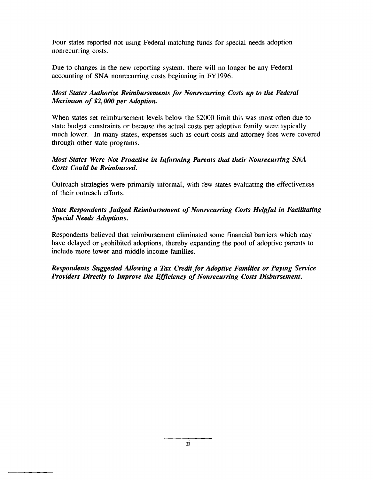Four states reported not using Federal matching funds for special needs adoption nonrecurring costs.

Due to changes in the new reporting system, there will no longer be any Federal accounting of SNA nonrecurring costs beginning in FY 1996.

#### *Most States Authorize Reimbursements for Nonrecurring Costs up to the Federal Maximum of \$2,000 per Adoption.*

When states set reimbursement levels below the \$2000 limit this was most often due to state budget constraints or because the actual costs per adoptive family were typically much lower. In many states, expenses such as court costs and attorney fees were covered through other state programs.

#### *Most States Were Not Proactive in Informing Parents that their Nonrecurring SNA Costs Could be Reimbursed.*

Outreach strategies were primarily informal, with few states evaluating the effectiveness of their outreach efforts.

### **State Respondents Judged Reimbursement of Nonrecurring Costs Helpful in Facilitating** *Special Needs Adoptions.*

Respondents believed that reimbursement eliminated some financial barriers which may have delayed or prohibited adoptions, thereby expanding the pool of adoptive parents to include more lower and middle income families.

**Respondents Suggested Allowing a Tax Credit for Adoptive Families or Paying Service** *Providers Directly to Improve the Efficiency of Nonrecurring Costs Disbursement.*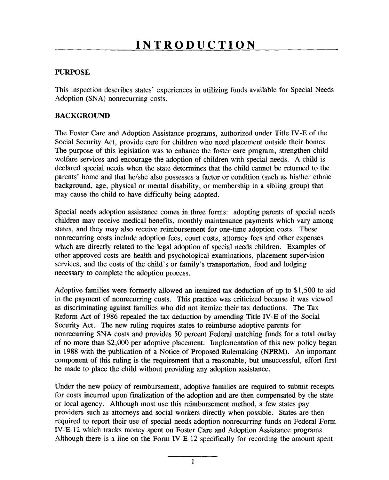#### PURPOSE

This inspection describes states' experiences in utilizing funds available for Special Needs Adoption (SNA) nonrecurring costs.

#### **BACKGROUND**

The Foster Care and Adoption Assistance programs, authorized under Title IV-E of the Social Security Act, provide care for children who need placement outside their homes. The purpose of this legislation was to enhance the foster care program strengthen child welfare services and encourage the adoption of children with special needs. A child is declared special needs when the state determines that the child cannot be returned to the parents' home and that he/she also possesses a factor background, age, physical or mental disability, or membership in a sibling group) that may cause the child to have difficulty being adopted. children may receive medical benefits, monthly maintenance payments which vary among

Special needs adoption assistance comes in three forms: adopting parents of special children may receive medical benefits, monthly maintenance payments which vary am states, and they may also receive reimbursement for one-time adoption costs. These nonrecurring costs include adoption fees court costs, attorney fees and other expenses which are directly related to the legal adoption of special needs children. Exami other annecessary to costs are health and prochomed  $\overline{\text{R}}$ services, and the costs of the child's or family's transportation, food and lodging necessary to complete the adoption process. in the payment of nonrecurring costs. This practice was criticized because it was viewed

Adoptive families were formerly allowed an itemized tax deduction of up to  $$1,500$  to in the nayment of nonrecurring costs. This practice was criticized because it was vie as discriminating against families who did not itemize their tax deductions. The Reform Act of 1986 repealed the tax deduction by amending Title IV-E of the Social Security Act. The new ruling requires states to reimburse adoptive parents for nonrecurring SNA costs and provides 50 percent Federal matching funds for a total outlay of no more than \$2,000 per adoptive placement. Implementation of this new policy began in 1988 with the publication of a Notice of Proposed Rulemaking  $\alpha$ component of this ruling is the requirement that a reasonable, but unsuccessful, effort first be made to place the child without providing any adoption assistance. for costs incurred upon finalization of the adoption and are then compensated by the state

Under the new policy of reimbursement adoptive families are required to submit for costs incurred upon finalization of the adoption and are then compensated by the st or local agency. Although most use this reimbursement method, a few states pay providers such as attorneys and social workers directly when possible. States are the -<br>required to report their use of special needs adoption nonrecurring funds on Federal Form IV-E-12 which tracks money spent on Foster Care and Adoption Assistance programs. Although there is a line on the Form IV-E-12 specifically for recording the amount spent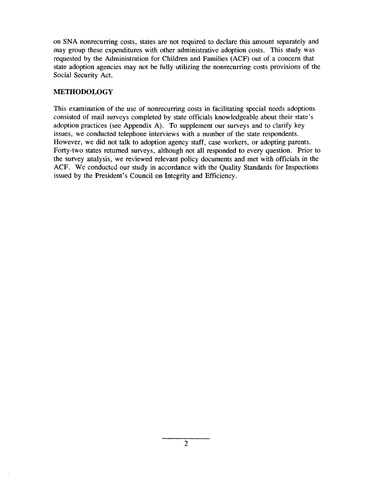on SNA nonrecurring costs, states are not required to declare this amount separately and may group these expenditures with other administrative adoption costs. This study was requested by the Administration for Children and Families (ACF) out of a concern that state adoption agencies may not be fully utilizing the nonrecurring costs provisions of the Social Security Act.

#### **METHODOLOGY**

This examination of the use of nonrecurring costs in facilitating special needs adoptions consisted of mail surveys completed by state officials knowledgeable about their state's adoption practices (see Appendix A). To supplement our surveys and to clarify key issues, we conducted telephone interviews with a number of the state respondents. However, we did not talk to adoption agency staff, case workers, or adopting parents. Forty-two states returned surveys, although not all responded to every question. Prior to the survey analysis, we reviewed relevant policy documents and met with officials in the ACF. We conducted our study in accordance with the Quality Standards for Inspections issued by the President's Council on Integrity and Efficiency.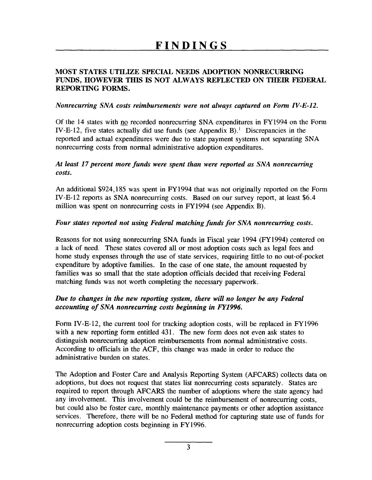### **MOST STATES UTILIZE SPECIAL NEEDS ADOPTION NONRECURRING FUNDS, HOWEVER THIS IS NOT ALWAYS REFLECTED ON THEIR FEDERAL REPORTING FORMS.**

#### *Nonrecurring SNA costs reimbursements were not always captured on Form IV-E-12.*

Of the 14 states with  $\overline{100}$  recorded nonrecurring SNA expenditures in FY1994 on the Form IV-E-12, five states actually did use funds (see Appendix B).<sup>1</sup> Discrepancies in the reported and actual expenditures were due to state payment systems not separating SNA nonrecurring costs from normal administrative adoption expenditures.

#### At least 17 percent more funds were spent than were reported as SNA nonrecurring *costs.*

An additional \$924,185 was spent in FY1994 that was not originally reported on the Form IV-E- 12 reports as SNA nonrecurring costs. Based on our survey report, at least \$6.4 million was spent on nonrecurring costs in FY 1994 (see Appendix B).

#### Four states reported not using Federal matching funds for SNA nonrecurring costs.

Reasons for not using nonrecurring SNA funds in Fiscal year 1994 (FY1994) centered on a lack of need. These states covered all or most adoption costs such as legal fees and home study expenses through the use of state services, requiring little to no out-of-pocket expenditure by adoptive families. In the case of one state, the amount requested by families was so small that the state adoption officials decided that receiving Federal matching funds was not worth completing the necessary paperwork.

### *Due to changes in the new reporting system, there will no longer be any Federal* accounting of SNA nonrecurring costs beginning in FY1996.

Form IV-E-12, the current tool for tracking adoption costs, will be replaced in FY1996 with a new reporting form entitled 431. The new form does not even ask states to distinguish nonrecurring adoption reimbursements from normal administrative costs. According to officials in the ACF, this change was made in order to reduce the administrative burden on states.

The Adoption and Foster Care and Analysis Reporting System (AFCARS) collects data on adoptions, but does not request that states list nonrecurring costs separately. States are required to report through AFCARS the number of adoptions where the state agency had any involvement. This involvement could be the reimbursement of nonrecurring costs, but could also be foster care, monthly maintenance payments or other adoption assistance services. Therefore, there will be no Federal method for capturing state use of funds for nonrecurring adoption costs beginning in FY 1996.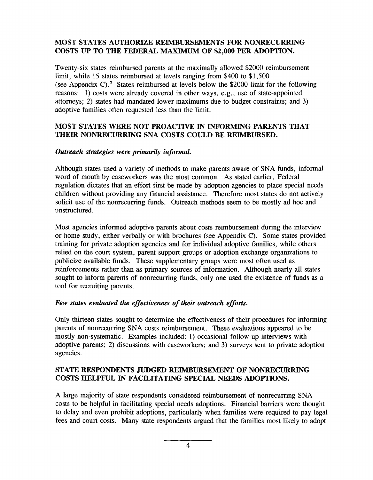### **MOST STATES AUTHORIZE REIMBURSEMENTS FOR NONRECURRING COSTS UP TO THE FEDERAL MAXIMUM OF \$2,000 PER ADOPTION.**

Twenty-six states reimbursed parents at the maximally allowed \$2000 reimbursement limit, while 15 states reimbursed at levels ranging from \$400 to \$1,500 (see Appendix C).<sup>2</sup> States reimbursed at levels below the \$2000 limit for the following reasons: 1) costs were already covered in other ways, e.g., use of state-appointe attorneys; 2) states had mandated lower maximums due to budget constraints; and 3) adoptive families often requested less than the limit.

#### **MOST STATES WERE NOT PROACTIVE IN INFORMING PARENTS THAT THEIR NONRECURRING SNA COSTS COULD BE REIMBURSED.**

#### *Outreach strategies were primarily informal.*

Although states used a variety of methods to make parents aware of SNA funds, informal word-of-mouth by caseworkers was the most common. As stated earlier, Federal regulation dictates that an effort first be made by adoption agencies to place special needs children without providing any financial assistance. Therefore most states do not actively solicit use of the nonrecurring funds. Outreach methods seem to be mostly ad hoc and unstructured.

Most agencies informed adoptive parents about costs reimbursement during the interview or home study, either verbally or with brochures (see Appendix C). Some states provided training for private adoption agencies and for individual adoptive families, while others relied on the court system, parent support groups or adoption exchange organizations to publicize available fimds. These supplementary groups were most often used as reinforcements rather than as primary sources of information. Although nearly all states sought to inform parents of nonrecurring funds, only one used the existence of funds as a tool for recruiting parents.

### *Few stales evaluated the effectiveness of their outreach effotis.*

Only thirteen states sought to determine the effectiveness of their procedures for informing parents of nonrecurring SNA costs reimbursement. These evaluations appeared to be mostly non-systematic. Examples included: 1) occasional follow-up interviews with adoptive parents; 2) discussions with caseworkers; and 3) surveys sent to private adoption agencies.

### **STATE RESPONDENTS JUDGED REIMBURSEMENT OF NONRECURRING COSTS HELPFUL IN FACILITATING SPECIAL NEEDS ADOPTIONS.**

A large majority of state respondents considered reimbursement of nonrecurring SNA costs to be helpful in facilitating special needs adoptions. Financial barriers were thought to delay and even prohibit adoptions, particularly when families were required to pay legal fees and court costs. Many state respondents argued that the families most likely to adopt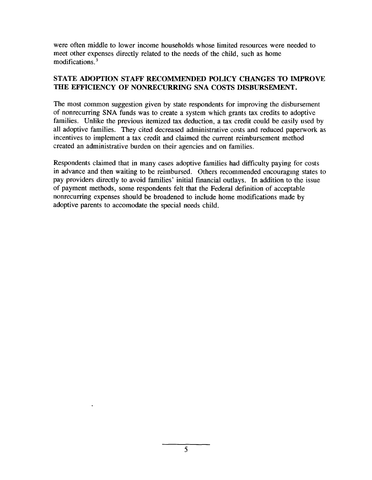were often middle to lower income households whose limited resources were needed to meet other expenses directly related to the needs of the child, such as home modifications.<sup>3</sup>

#### **STATE ADOPTION STAFF RECOMMENDED POLICY CHANGES TO IMPROVE THE EFFICIENCY OF NONRECURRING SNA COSTS DISBURSEMENT.**

The most common suggestion given by state respondents for improving the disbursement of nonrecurring SNA funds was to create a system which grants tax credits to adoptive families. Unlike the previous itemized tax deduction, a tax credit could be easily used by all adoptive families. They cited decreased administrative costs and reduced paperwork as incentives to implement a tax credit and claimed the current reimbursement method created an administrative burden on their agencies and on families.

Respondents claimed that in many cases adoptive families had difficulty paying for costs in advance and then waiting to be reimbursed. others recommended encouraging states to pay providers directly to avoid families' initial financial outlays. In addition to the issue of payment methods, some respondents felt that the Federal definition of acceptable nonrecurring expenses should be broadened to include home modifications made by adoptive parents to accomodate the special needs child.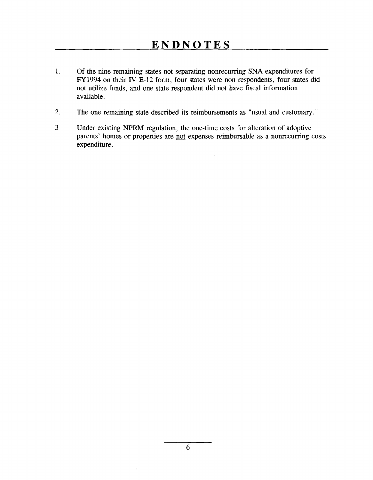- 1. Of the nine remaining states not separating nonrecurring SNA expenditures for FY1994 on their IV-E-12 form, four states were non-respondents, four states did not utilize funds, and one state respondent did not have fiscal information available.
- **2.** The one remaining state described its reimbursements as "usual and customary. "
- Under existing NPRM regulation, the one-time costs for alteration of adoptive parents' homes or properties are not expenses reimbursable as a nonrecurring costs expenditure. **3**

 $\overline{a}$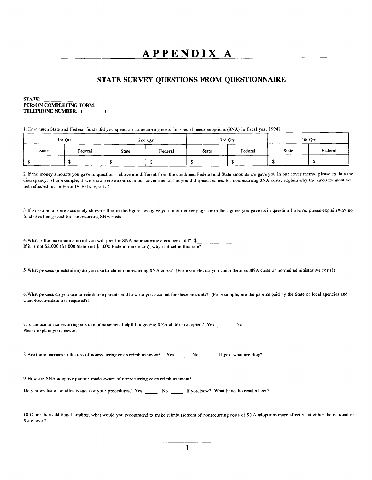# **APPENDIX A**

#### **STATE SURVEY QUESTIONS FROM QUESTIONNAIRE**

STATE: PERSON COMPLETING FORM: TELEPHONE**NUMBER: ( ) —-**

**1.HOW** much State and Federal funds **did** you spend on nonrecuming costs for special needs adoptions (SNA) in fiscal year 1994?

|              | 1st Otr |       | 2nd Qtr |       | 3rd Otr |              | 4th Qtr |
|--------------|---------|-------|---------|-------|---------|--------------|---------|
| <b>State</b> | Federal | State | Federal | State | Federal | <b>State</b> | Federal |
|              |         |       |         |       |         |              |         |

2. If the money amounts you gave in question 1 above are different from the combined Federal and State amounts we gave you in our cover memo, please explain the discrepancy, (For example, if we show zero amounts in our cover memo, but you did spend monies for nonrecurring SNA costs, explain why the amounts spent are not reflected int he Form IV-E-12 reports.)

3 If zero amounts are accurately shown either in the figures we gave you in our cover page, or in the figures you gave us in question 1 above, please explain why no funds are being used for nonrecurring SNA costs.

4. What is the maximum amount you will pay for SNA nonrecurring costs per child? \$ If it is not  $$2,000$  (\$1,000 State and \$1,000 Federal maximum), why is it set at this rate?

5 .What process (mechanism) do you use to claim nonrecurring SNA costs? (For example, do you claim them as SNA costs or normal administrative costs'?)

6, What process do you use to reimburse parents and how do you account for these amounts'? (For example, are the parents paid by the State or local agencies and what documentation is required?)

7. Is the use of nonrecurring costs reimbursement helpful in getting SNA children adopted? Yes \_\_\_\_\_\_\_ No \_\_\_\_ Please explain you answer.

8. Are there barriers to the use of nonrecurring costs reimbursement? Yes \_\_\_\_\_ No \_\_\_\_\_ If yes, what are they?

9 How are SNA adoptive parents made aware of nonrecurring costs reimbursement?

Do you evaluate the effectiveness of your procedures? Yes \_\_\_\_\_\_\_ No \_\_\_\_\_\_ If yes, how? What have the results been?

10. Other than additional funding, what would you recommend to make reimbursement of nonrecurring costs of S NA adoptions more effective at either the national or State level?

1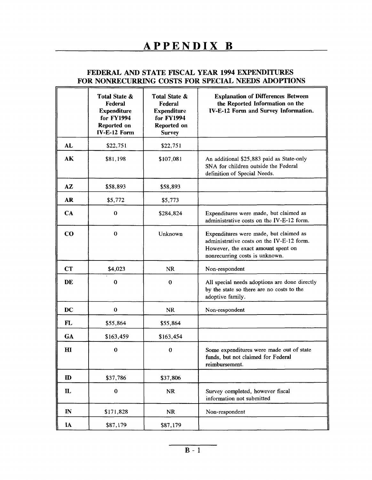## **FEDERAL AND STATE FISCAL YEAR 1994 EXPENDITURES FOR NONRECURRING COSTS FOR SPECIAL NEEDS ADOPTIONS**

|              | Total State &<br>Federal<br><b>Expenditure</b><br>for FY1994<br>Reported on<br>IV-E-12 Form | Total State &<br>Federal<br><b>Expenditure</b><br>for FY1994<br>Reported on<br><b>Survey</b> | <b>Explanation of Differences Between</b><br>the Reported Information on the<br>IV-E-12 Form and Survey Information.                                        |  |
|--------------|---------------------------------------------------------------------------------------------|----------------------------------------------------------------------------------------------|-------------------------------------------------------------------------------------------------------------------------------------------------------------|--|
| <b>AL</b>    | \$22,751                                                                                    | \$22,751                                                                                     |                                                                                                                                                             |  |
| AK           | \$81,198                                                                                    | \$107,081                                                                                    | An additional \$25,883 paid as State-only<br>SNA for children outside the Federal<br>definition of Special Needs.                                           |  |
| AZ           | \$58,893                                                                                    | \$58,893                                                                                     |                                                                                                                                                             |  |
| <b>AR</b>    | \$5,772                                                                                     | \$5,773                                                                                      |                                                                                                                                                             |  |
| CA           | $\bf{0}$                                                                                    | \$284,824                                                                                    | Expenditures were made, but claimed as<br>administrative costs on the IV-E-12 form.                                                                         |  |
| $\bf{CO}$    | $\bf{0}$                                                                                    | Unknown                                                                                      | Expenditures were made, but claimed as<br>administrative costs on the IV-E-12 form.<br>However, the exact amount spent on<br>nonrecurring costs is unknown. |  |
| <b>CT</b>    | \$4,023                                                                                     | <b>NR</b>                                                                                    | Non-respondent                                                                                                                                              |  |
| DE           | $\bf{0}$                                                                                    | $\bf{0}$                                                                                     | All special needs adoptions are done directly<br>by the state so there are no costs to the<br>adoptive family.                                              |  |
| <b>DC</b>    | $\bf{0}$                                                                                    | <b>NR</b>                                                                                    | Non-respondent                                                                                                                                              |  |
| FL           | \$55,864                                                                                    | \$55,864                                                                                     |                                                                                                                                                             |  |
| <b>GA</b>    | \$163,459                                                                                   | \$163,454                                                                                    |                                                                                                                                                             |  |
| H1           | $\bf{0}$                                                                                    | 0                                                                                            | Some expenditures were made out of state<br>funds, but not claimed for Federal<br>reimbursement.                                                            |  |
| $\mathbf{D}$ | \$37,786                                                                                    | \$37,806                                                                                     |                                                                                                                                                             |  |
| $\mathbf{L}$ | $\bf{0}$                                                                                    | NR                                                                                           | Survey completed, however fiscal<br>information not submitted                                                                                               |  |
| $\mathbb{N}$ | \$171,828                                                                                   | <b>NR</b>                                                                                    | Non-respondent                                                                                                                                              |  |
| IA           | \$87,179                                                                                    | \$87,179                                                                                     |                                                                                                                                                             |  |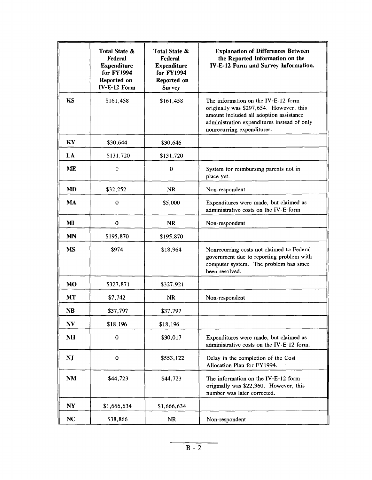|           | Total State &<br>Federal<br><b>Expenditure</b><br>for FY1994<br>Reported on<br>IV-E-12 Form | Total State &<br>Federal<br><b>Expenditure</b><br><b>for FY1994</b><br>Reported on<br><b>Survey</b> | <b>Explanation of Differences Between</b><br>the Reported Information on the<br>IV-E-12 Form and Survey Information.                                                                                   |
|-----------|---------------------------------------------------------------------------------------------|-----------------------------------------------------------------------------------------------------|--------------------------------------------------------------------------------------------------------------------------------------------------------------------------------------------------------|
| KS        | \$161,458                                                                                   | \$161,458                                                                                           | The information on the IV-E-12 form<br>originally was \$297,654. However, this<br>amount included all adoption assistance<br>administration expenditures instead of only<br>nonrecurring expenditures. |
| KY        | \$30,644                                                                                    | \$30,646                                                                                            |                                                                                                                                                                                                        |
| LA        | \$131,720                                                                                   | \$131,720                                                                                           |                                                                                                                                                                                                        |
| <b>ME</b> | $\mathbb{C}$                                                                                | $\bf{0}$                                                                                            | System for reimbursing parents not in<br>place yet.                                                                                                                                                    |
| <b>MD</b> | \$32,252                                                                                    | <b>NR</b>                                                                                           | Non-respondent                                                                                                                                                                                         |
| <b>MA</b> | $\bf{0}$                                                                                    | \$5,000                                                                                             | Expenditures were made, but claimed as<br>administrative costs on the IV-E-form                                                                                                                        |
| MI        | $\bf{0}$                                                                                    | <b>NR</b>                                                                                           | Non-respondent                                                                                                                                                                                         |
| <b>MN</b> | \$195,870                                                                                   | \$195,870                                                                                           |                                                                                                                                                                                                        |
| <b>MS</b> | \$974                                                                                       | \$18,964                                                                                            | Nonrecurring costs not claimed to Federal<br>government due to reporting problem with<br>computer system. The problem has since<br>been resolved.                                                      |
| <b>MO</b> | \$327,871                                                                                   | \$327,921                                                                                           |                                                                                                                                                                                                        |
| <b>MT</b> | \$7,742                                                                                     | <b>NR</b>                                                                                           | Non-respondent                                                                                                                                                                                         |
| <b>NB</b> | \$37,797                                                                                    | \$37,797                                                                                            |                                                                                                                                                                                                        |
| <b>NV</b> | \$18,196                                                                                    | \$18,196                                                                                            |                                                                                                                                                                                                        |
| <b>NH</b> | $\bf{0}$                                                                                    | \$30,017                                                                                            | Expenditures were made, but claimed as<br>administrative costs on the IV-E-12 form.                                                                                                                    |
| <b>NJ</b> | $\bf{0}$                                                                                    | \$553,122                                                                                           | Delay in the completion of the Cost<br>Allocation Plan for FY1994.                                                                                                                                     |
| NM        | \$44,723                                                                                    | \$44,723                                                                                            | The information on the IV-E-12 form<br>originally was \$22,360. However, this<br>number was later corrected.                                                                                           |
| <b>NY</b> | \$1,666,634                                                                                 | \$1,666,634                                                                                         |                                                                                                                                                                                                        |
| NC        | \$38,866                                                                                    | <b>NR</b>                                                                                           | Non-respondent                                                                                                                                                                                         |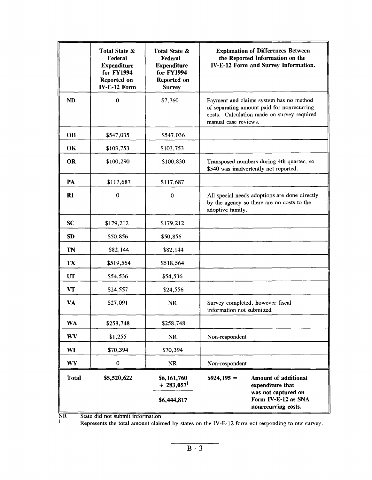|           | Total State &<br>Federal<br><b>Expenditure</b><br>for FY1994<br>Reported on<br>IV-E-12 Form | Total State &<br>Federal<br><b>Expenditure</b><br>for FY1994<br>Reported on<br><b>Survey</b> | <b>Explanation of Differences Between</b><br>the Reported Information on the<br>IV-E-12 Form and Survey Information.                                        |  |
|-----------|---------------------------------------------------------------------------------------------|----------------------------------------------------------------------------------------------|-------------------------------------------------------------------------------------------------------------------------------------------------------------|--|
| <b>ND</b> | $\boldsymbol{0}$                                                                            | \$7,760                                                                                      | Payment and claims system has no method<br>of separating amount paid for nonrecurring<br>costs. Calculation made on survey required<br>manual case reviews. |  |
| <b>OH</b> | \$547,035                                                                                   | \$547,036                                                                                    |                                                                                                                                                             |  |
| OK        | \$103,753                                                                                   | \$103,753                                                                                    |                                                                                                                                                             |  |
| <b>OR</b> | \$100,290                                                                                   | \$100,830                                                                                    | Transposed numbers during 4th quarter, so<br>\$540 was inadvertently not reported.                                                                          |  |
| PA        | \$117,687                                                                                   | \$117,687                                                                                    |                                                                                                                                                             |  |
| <b>RI</b> | $\bf{0}$                                                                                    | $\bf{0}$                                                                                     | All special needs adoptions are done directly<br>by the agency so there are no costs to the<br>adoptive family.                                             |  |
| <b>SC</b> | \$179,212                                                                                   | \$179,212                                                                                    |                                                                                                                                                             |  |
| <b>SD</b> | \$50,856                                                                                    | \$50,856                                                                                     |                                                                                                                                                             |  |
| TN        | \$82,144                                                                                    | \$82,144                                                                                     |                                                                                                                                                             |  |
| TX        | \$519,564                                                                                   | \$518,564                                                                                    |                                                                                                                                                             |  |
| <b>UT</b> | \$54,536                                                                                    | \$54,536                                                                                     |                                                                                                                                                             |  |
| <b>VT</b> | \$24,557                                                                                    | \$24,556                                                                                     |                                                                                                                                                             |  |
| VA        | \$27,091                                                                                    | NR                                                                                           | Survey completed, however fiscal<br>information not submitted                                                                                               |  |
| <b>WA</b> | \$258,748                                                                                   | \$258,748                                                                                    |                                                                                                                                                             |  |
| WV        | \$1,255                                                                                     | <b>NR</b>                                                                                    | Non-respondent                                                                                                                                              |  |
| WI        | \$70,394                                                                                    | \$70,394                                                                                     |                                                                                                                                                             |  |
| <b>WY</b> | $\pmb{0}$                                                                                   | NR                                                                                           | Non-respondent                                                                                                                                              |  |
| Total     | \$5,520,622                                                                                 | \$6,161,760<br>$+283,0571$                                                                   | $$924,195 =$<br><b>Amount of additional</b><br>expenditure that                                                                                             |  |
|           |                                                                                             | \$6,444,817                                                                                  | was not captured on<br>Form IV-E-12 as SNA<br>nonrecurring costs.                                                                                           |  |

NR State did not submit information

Represents the total amount claimed by states on the IV-E-12 form not responding to our survey.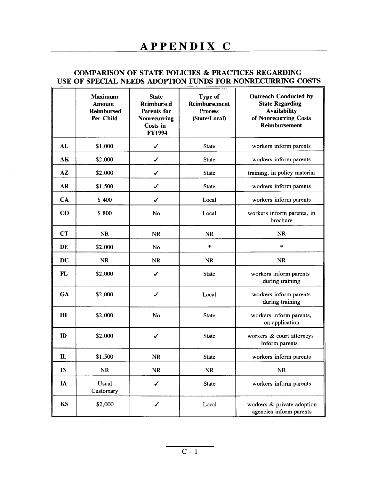#### **COMPARISON OF STATE POLICIES & PRACTICES REGARDING USE OF SPECIAL NEEDS ADOPTION FUNDS FOR NONRECURRING COSTS**

|              | <b>Maximum</b><br><b>Amount</b><br><b>Reimbursed</b><br>Per Child | <b>State</b><br><b>Reimbursed</b><br>Parents for<br>Nonrecurring<br>Costs in<br><b>FY1994</b> | Type of<br><b>Reimbursement</b><br>Process<br>(State/Local) | <b>Outreach Conducted by</b><br><b>State Regarding</b><br><b>Availability</b><br>of Nonrecurring Costs<br><b>Reimbursement</b> |
|--------------|-------------------------------------------------------------------|-----------------------------------------------------------------------------------------------|-------------------------------------------------------------|--------------------------------------------------------------------------------------------------------------------------------|
| <b>AL</b>    | \$1,000                                                           | $\checkmark$                                                                                  | State                                                       | workers inform parents                                                                                                         |
| AK           | \$2,000                                                           | ✓                                                                                             | <b>State</b>                                                | workers inform parents                                                                                                         |
| AZ           | \$2,000                                                           | ✓                                                                                             | <b>State</b>                                                | training, in policy material                                                                                                   |
| <b>AR</b>    | \$1,500                                                           | ✓                                                                                             | <b>State</b>                                                | workers inform parents                                                                                                         |
| CA           | \$400                                                             | ✔                                                                                             | Local                                                       | workers inform parents                                                                                                         |
| $\bf{CO}$    | \$800                                                             | No                                                                                            | Local                                                       | workers inform parents, in<br>brochure                                                                                         |
| <b>CT</b>    | <b>NR</b>                                                         | <b>NR</b>                                                                                     | <b>NR</b>                                                   | <b>NR</b>                                                                                                                      |
| DE           | \$2,000                                                           | No                                                                                            | $\ast$                                                      | *                                                                                                                              |
| DC           | <b>NR</b>                                                         | <b>NR</b>                                                                                     | NR                                                          | <b>NR</b>                                                                                                                      |
| FL           | \$2,000                                                           | ✔                                                                                             | <b>State</b>                                                | workers inform parents<br>during training                                                                                      |
| GA           | \$2,000                                                           | ✔                                                                                             | Local                                                       | workers inform parents<br>during training                                                                                      |
| H1           | \$2,000                                                           | No                                                                                            | State                                                       | workers inform parents,<br>on application                                                                                      |
| $\bf{D}$     | \$2,000                                                           | ✓                                                                                             | State                                                       | workers & court attorneys<br>inform parents                                                                                    |
| $\mathbf{L}$ | \$1,500                                                           | <b>NR</b>                                                                                     | <b>State</b>                                                | workers inform parents                                                                                                         |
| $\mathbb{N}$ | NR                                                                | <b>NR</b>                                                                                     | NR                                                          | NR                                                                                                                             |
| IA           | Usual<br>Customary                                                | ✔                                                                                             | <b>State</b>                                                | workers inform parents                                                                                                         |
| <b>KS</b>    | \$2,000                                                           | ✔                                                                                             | Local                                                       | workers & private adoption<br>agencies inform parents                                                                          |